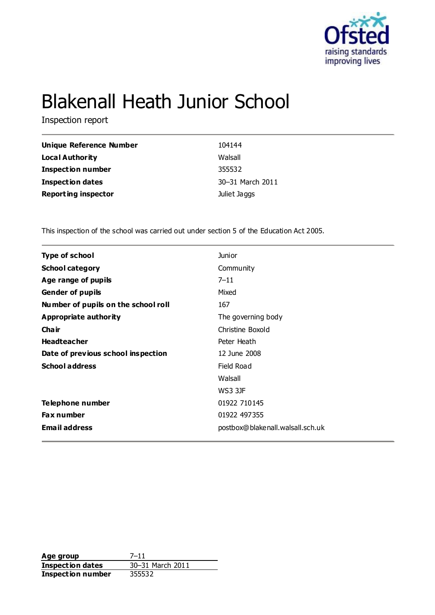

# Blakenall Heath Junior School

Inspection report

| Unique Reference Number    | 104144           |
|----------------------------|------------------|
| <b>Local Authority</b>     | Walsall          |
| <b>Inspection number</b>   | 355532           |
| <b>Inspection dates</b>    | 30-31 March 2011 |
| <b>Reporting inspector</b> | Juliet Jaggs     |

This inspection of the school was carried out under section 5 of the Education Act 2005.

| <b>Type of school</b>               | <b>Junior</b>                    |
|-------------------------------------|----------------------------------|
| <b>School category</b>              | Community                        |
| Age range of pupils                 | $7 - 11$                         |
| <b>Gender of pupils</b>             | Mixed                            |
| Number of pupils on the school roll | 167                              |
| Appropriate authority               | The governing body               |
| Cha ir                              | Christine Boxold                 |
| <b>Headteacher</b>                  | Peter Heath                      |
| Date of previous school inspection  | 12 June 2008                     |
| <b>School address</b>               | Field Road                       |
|                                     | Walsall                          |
|                                     | <b>WS3 3JF</b>                   |
| Telephone number                    | 01922 710145                     |
| <b>Fax number</b>                   | 01922 497355                     |
| <b>Email address</b>                | postbox@blakenall.walsall.sch.uk |
|                                     |                                  |

**Age group** 7-11<br> **Inspection dates** 30-31 March 2011 **Inspection dates** 30–31 M<br>**Inspection number** 355532 **Inspection number**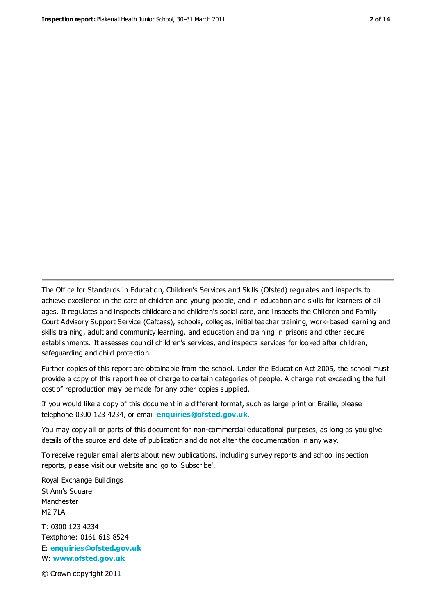The Office for Standards in Education, Children's Services and Skills (Ofsted) regulates and inspects to achieve excellence in the care of children and young people, and in education and skills for learners of all ages. It regulates and inspects childcare and children's social care, and inspects the Children and Family Court Advisory Support Service (Cafcass), schools, colleges, initial teacher training, work-based learning and skills training, adult and community learning, and education and training in prisons and other secure establishments. It assesses council children's services, and inspects services for looked after children, safeguarding and child protection.

Further copies of this report are obtainable from the school. Under the Education Act 2005, the school must provide a copy of this report free of charge to certain categories of people. A charge not exceeding the full cost of reproduction may be made for any other copies supplied.

If you would like a copy of this document in a different format, such as large print or Braille, please telephone 0300 123 4234, or email **[enquiries@ofsted.gov.uk](mailto:enquiries@ofsted.gov.uk)**.

You may copy all or parts of this document for non-commercial educational purposes, as long as you give details of the source and date of publication and do not alter the documentation in any way.

To receive regular email alerts about new publications, including survey reports and school inspection reports, please visit our website and go to 'Subscribe'.

Royal Exchange Buildings St Ann's Square Manchester M2 7LA T: 0300 123 4234 Textphone: 0161 618 8524 E: **[enquiries@ofsted.gov.uk](mailto:enquiries@ofsted.gov.uk)**

W: **[www.ofsted.gov.uk](http://www.ofsted.gov.uk/)**

© Crown copyright 2011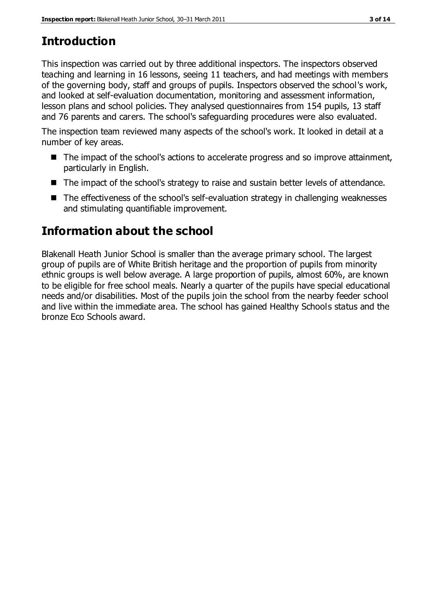## **Introduction**

This inspection was carried out by three additional inspectors. The inspectors observed teaching and learning in 16 lessons, seeing 11 teachers, and had meetings with members of the governing body, staff and groups of pupils. Inspectors observed the school's work, and looked at self-evaluation documentation, monitoring and assessment information, lesson plans and school policies. They analysed questionnaires from 154 pupils, 13 staff and 76 parents and carers. The school's safeguarding procedures were also evaluated.

The inspection team reviewed many aspects of the school's work. It looked in detail at a number of key areas.

- The impact of the school's actions to accelerate progress and so improve attainment, particularly in English.
- The impact of the school's strategy to raise and sustain better levels of attendance.
- The effectiveness of the school's self-evaluation strategy in challenging weaknesses and stimulating quantifiable improvement.

## **Information about the school**

Blakenall Heath Junior School is smaller than the average primary school. The largest group of pupils are of White British heritage and the proportion of pupils from minority ethnic groups is well below average. A large proportion of pupils, almost 60%, are known to be eligible for free school meals. Nearly a quarter of the pupils have special educational needs and/or disabilities. Most of the pupils join the school from the nearby feeder school and live within the immediate area. The school has gained Healthy Schools status and the bronze Eco Schools award.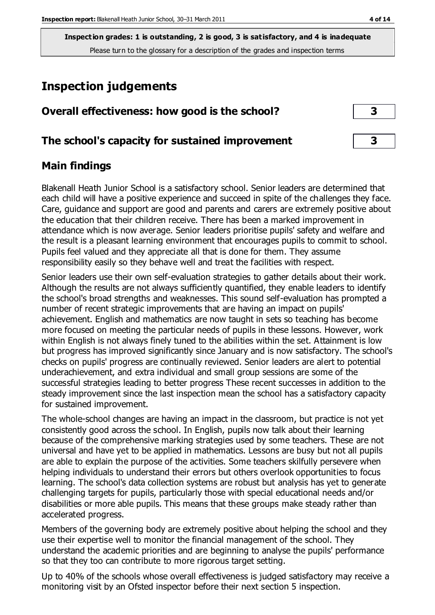## **Inspection judgements**

| Overall effectiveness: how good is the school?  |  |
|-------------------------------------------------|--|
| The school's capacity for sustained improvement |  |

## **Main findings**

Blakenall Heath Junior School is a satisfactory school. Senior leaders are determined that each child will have a positive experience and succeed in spite of the challenges they face. Care, guidance and support are good and parents and carers are extremely positive about the education that their children receive. There has been a marked improvement in attendance which is now average. Senior leaders prioritise pupils' safety and welfare and the result is a pleasant learning environment that encourages pupils to commit to school. Pupils feel valued and they appreciate all that is done for them. They assume responsibility easily so they behave well and treat the facilities with respect.

Senior leaders use their own self-evaluation strategies to gather details about their work. Although the results are not always sufficiently quantified, they enable leaders to identify the school's broad strengths and weaknesses. This sound self-evaluation has prompted a number of recent strategic improvements that are having an impact on pupils' achievement. English and mathematics are now taught in sets so teaching has become more focused on meeting the particular needs of pupils in these lessons. However, work within English is not always finely tuned to the abilities within the set. Attainment is low but progress has improved significantly since January and is now satisfactory. The school's checks on pupils' progress are continually reviewed. Senior leaders are alert to potential underachievement, and extra individual and small group sessions are some of the successful strategies leading to better progress These recent successes in addition to the steady improvement since the last inspection mean the school has a satisfactory capacity for sustained improvement.

The whole-school changes are having an impact in the classroom, but practice is not yet consistently good across the school. In English, pupils now talk about their learning because of the comprehensive marking strategies used by some teachers. These are not universal and have yet to be applied in mathematics. Lessons are busy but not all pupils are able to explain the purpose of the activities. Some teachers skilfully persevere when helping individuals to understand their errors but others overlook opportunities to focus learning. The school's data collection systems are robust but analysis has yet to generate challenging targets for pupils, particularly those with special educational needs and/or disabilities or more able pupils. This means that these groups make steady rather than accelerated progress.

Members of the governing body are extremely positive about helping the school and they use their expertise well to monitor the financial management of the school. They understand the academic priorities and are beginning to analyse the pupils' performance so that they too can contribute to more rigorous target setting.

Up to 40% of the schools whose overall effectiveness is judged satisfactory may receive a monitoring visit by an Ofsted inspector before their next section 5 inspection.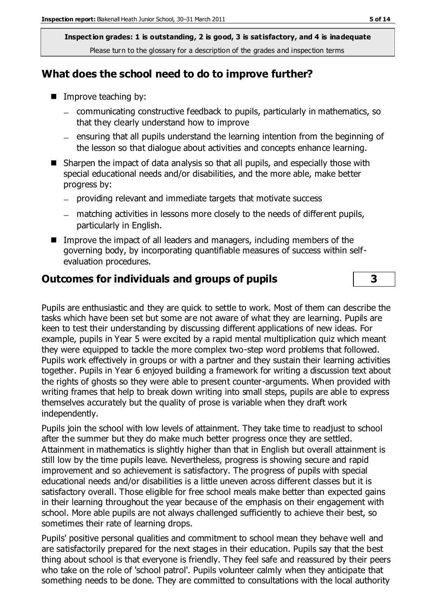## **What does the school need to do to improve further?**

- Improve teaching by:
	- communicating constructive feedback to pupils, particularly in mathematics, so that they clearly understand how to improve
	- $-$  ensuring that all pupils understand the learning intention from the beginning of the lesson so that dialogue about activities and concepts enhance learning.
- Sharpen the impact of data analysis so that all pupils, and especially those with special educational needs and/or disabilities, and the more able, make better progress by:
	- providing relevant and immediate targets that motivate success
	- matching activities in lessons more closely to the needs of different pupils, particularly in English.
- Improve the impact of all leaders and managers, including members of the governing body, by incorporating quantifiable measures of success within selfevaluation procedures.

## **Outcomes for individuals and groups of pupils 3**

Pupils are enthusiastic and they are quick to settle to work. Most of them can describe the tasks which have been set but some are not aware of what they are learning. Pupils are keen to test their understanding by discussing different applications of new ideas. For example, pupils in Year 5 were excited by a rapid mental multiplication quiz which meant they were equipped to tackle the more complex two-step word problems that followed. Pupils work effectively in groups or with a partner and they sustain their learning activities together. Pupils in Year 6 enjoyed building a framework for writing a discussion text about the rights of ghosts so they were able to present counter-arguments. When provided with writing frames that help to break down writing into small steps, pupils are able to express themselves accurately but the quality of prose is variable when they draft work independently.

Pupils join the school with low levels of attainment. They take time to readjust to school after the summer but they do make much better progress once they are settled. Attainment in mathematics is slightly higher than that in English but overall attainment is still low by the time pupils leave. Nevertheless, progress is showing secure and rapid improvement and so achievement is satisfactory. The progress of pupils with special educational needs and/or disabilities is a little uneven across different classes but it is satisfactory overall. Those eligible for free school meals make better than expected gains in their learning throughout the year because of the emphasis on their engagement with school. More able pupils are not always challenged sufficiently to achieve their best, so sometimes their rate of learning drops.

Pupils' positive personal qualities and commitment to school mean they behave well and are satisfactorily prepared for the next stages in their education. Pupils say that the best thing about school is that everyone is friendly. They feel safe and reassured by their peers who take on the role of 'school patrol'. Pupils volunteer calmly when they anticipate that something needs to be done. They are committed to consultations with the local authority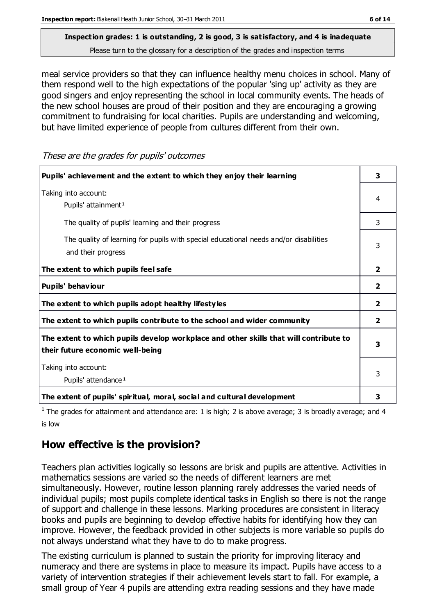## **Inspection grades: 1 is outstanding, 2 is good, 3 is satisfactory, and 4 is inadequate**

Please turn to the glossary for a description of the grades and inspection terms

meal service providers so that they can influence healthy menu choices in school. Many of them respond well to the high expectations of the popular 'sing up' activity as they are good singers and enjoy representing the school in local community events. The heads of the new school houses are proud of their position and they are encouraging a growing commitment to fundraising for local charities. Pupils are understanding and welcoming, but have limited experience of people from cultures different from their own.

These are the grades for pupils' outcomes

| Pupils' achievement and the extent to which they enjoy their learning                                                     |                         |
|---------------------------------------------------------------------------------------------------------------------------|-------------------------|
| Taking into account:<br>Pupils' attainment <sup>1</sup>                                                                   |                         |
| The quality of pupils' learning and their progress                                                                        |                         |
| The quality of learning for pupils with special educational needs and/or disabilities<br>and their progress               |                         |
| The extent to which pupils feel safe                                                                                      | $\mathbf{2}$            |
| Pupils' behaviour                                                                                                         | $\mathbf{2}$            |
| The extent to which pupils adopt healthy lifestyles                                                                       | $\overline{\mathbf{2}}$ |
| The extent to which pupils contribute to the school and wider community                                                   | $\overline{2}$          |
| The extent to which pupils develop workplace and other skills that will contribute to<br>their future economic well-being |                         |
| Taking into account:<br>Pupils' attendance <sup>1</sup>                                                                   |                         |
| The extent of pupils' spiritual, moral, social and cultural development                                                   | 3                       |

<sup>1</sup> The grades for attainment and attendance are: 1 is high; 2 is above average; 3 is broadly average; and 4 is low

## **How effective is the provision?**

Teachers plan activities logically so lessons are brisk and pupils are attentive. Activities in mathematics sessions are varied so the needs of different learners are met simultaneously. However, routine lesson planning rarely addresses the varied needs of individual pupils; most pupils complete identical tasks in English so there is not the range of support and challenge in these lessons. Marking procedures are consistent in literacy books and pupils are beginning to develop effective habits for identifying how they can improve. However, the feedback provided in other subjects is more variable so pupils do not always understand what they have to do to make progress.

The existing curriculum is planned to sustain the priority for improving literacy and numeracy and there are systems in place to measure its impact. Pupils have access to a variety of intervention strategies if their achievement levels start to fall. For example, a small group of Year 4 pupils are attending extra reading sessions and they have made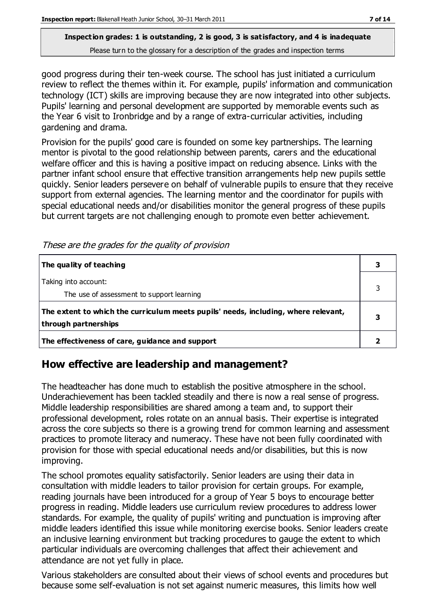good progress during their ten-week course. The school has just initiated a curriculum review to reflect the themes within it. For example, pupils' information and communication technology (ICT) skills are improving because they are now integrated into other subjects. Pupils' learning and personal development are supported by memorable events such as the Year 6 visit to Ironbridge and by a range of extra-curricular activities, including gardening and drama.

Provision for the pupils' good care is founded on some key partnerships. The learning mentor is pivotal to the good relationship between parents, carers and the educational welfare officer and this is having a positive impact on reducing absence. Links with the partner infant school ensure that effective transition arrangements help new pupils settle quickly. Senior leaders persevere on behalf of vulnerable pupils to ensure that they receive support from external agencies. The learning mentor and the coordinator for pupils with special educational needs and/or disabilities monitor the general progress of these pupils but current targets are not challenging enough to promote even better achievement.

| The quality of teaching                                                                                    |  |
|------------------------------------------------------------------------------------------------------------|--|
| Taking into account:<br>The use of assessment to support learning                                          |  |
| The extent to which the curriculum meets pupils' needs, including, where relevant,<br>through partnerships |  |
| The effectiveness of care, guidance and support                                                            |  |

## **How effective are leadership and management?**

The headteacher has done much to establish the positive atmosphere in the school. Underachievement has been tackled steadily and there is now a real sense of progress. Middle leadership responsibilities are shared among a team and, to support their professional development, roles rotate on an annual basis. Their expertise is integrated across the core subjects so there is a growing trend for common learning and assessment practices to promote literacy and numeracy. These have not been fully coordinated with provision for those with special educational needs and/or disabilities, but this is now improving.

The school promotes equality satisfactorily. Senior leaders are using their data in consultation with middle leaders to tailor provision for certain groups. For example, reading journals have been introduced for a group of Year 5 boys to encourage better progress in reading. Middle leaders use curriculum review procedures to address lower standards. For example, the quality of pupils' writing and punctuation is improving after middle leaders identified this issue while monitoring exercise books. Senior leaders create an inclusive learning environment but tracking procedures to gauge the extent to which particular individuals are overcoming challenges that affect their achievement and attendance are not yet fully in place.

Various stakeholders are consulted about their views of school events and procedures but because some self-evaluation is not set against numeric measures, this limits how well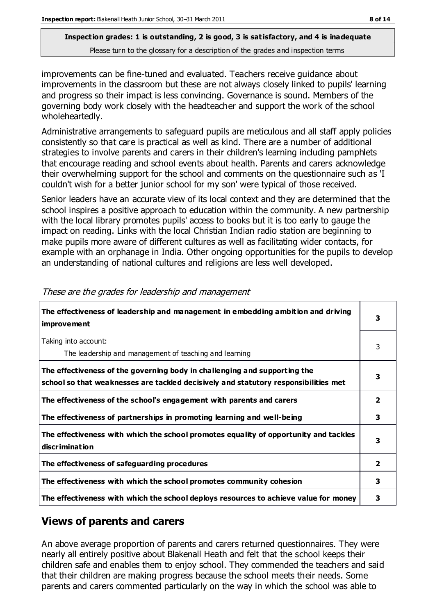improvements can be fine-tuned and evaluated. Teachers receive guidance about improvements in the classroom but these are not always closely linked to pupils' learning and progress so their impact is less convincing. Governance is sound. Members of the governing body work closely with the headteacher and support the work of the school wholeheartedly.

Administrative arrangements to safeguard pupils are meticulous and all staff apply policies consistently so that care is practical as well as kind. There are a number of additional strategies to involve parents and carers in their children's learning including pamphlets that encourage reading and school events about health. Parents and carers acknowledge their overwhelming support for the school and comments on the questionnaire such as 'I couldn't wish for a better junior school for my son' were typical of those received.

Senior leaders have an accurate view of its local context and they are determined that the school inspires a positive approach to education within the community. A new partnership with the local library promotes pupils' access to books but it is too early to gauge the impact on reading. Links with the local Christian Indian radio station are beginning to make pupils more aware of different cultures as well as facilitating wider contacts, for example with an orphanage in India. Other ongoing opportunities for the pupils to develop an understanding of national cultures and religions are less well developed.

| The effectiveness of leadership and management in embedding ambition and driving<br><i>improvement</i>                                                           |                |
|------------------------------------------------------------------------------------------------------------------------------------------------------------------|----------------|
| Taking into account:<br>The leadership and management of teaching and learning                                                                                   | 3              |
| The effectiveness of the governing body in challenging and supporting the<br>school so that weaknesses are tackled decisively and statutory responsibilities met | 3              |
| The effectiveness of the school's engagement with parents and carers                                                                                             | $\overline{2}$ |
| The effectiveness of partnerships in promoting learning and well-being                                                                                           | 3              |
| The effectiveness with which the school promotes equality of opportunity and tackles<br>discrimination                                                           | 3              |
| The effectiveness of safeguarding procedures                                                                                                                     | $\overline{2}$ |
| The effectiveness with which the school promotes community cohesion                                                                                              | 3              |
| The effectiveness with which the school deploys resources to achieve value for money                                                                             | з              |

These are the grades for leadership and management

## **Views of parents and carers**

An above average proportion of parents and carers returned questionnaires. They were nearly all entirely positive about Blakenall Heath and felt that the school keeps their children safe and enables them to enjoy school. They commended the teachers and said that their children are making progress because the school meets their needs. Some parents and carers commented particularly on the way in which the school was able to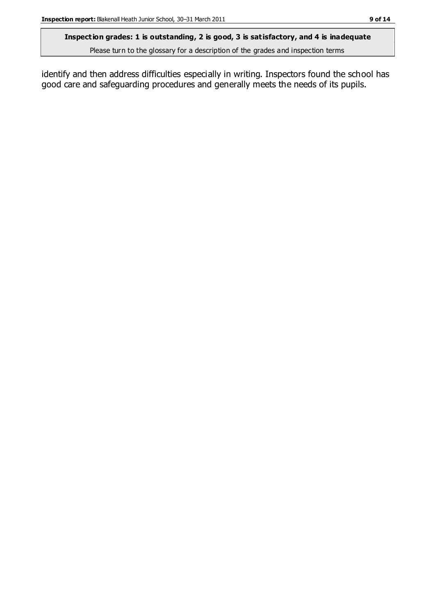#### **Inspection grades: 1 is outstanding, 2 is good, 3 is satisfactory, and 4 is inadequate**

Please turn to the glossary for a description of the grades and inspection terms

identify and then address difficulties especially in writing. Inspectors found the school has good care and safeguarding procedures and generally meets the needs of its pupils.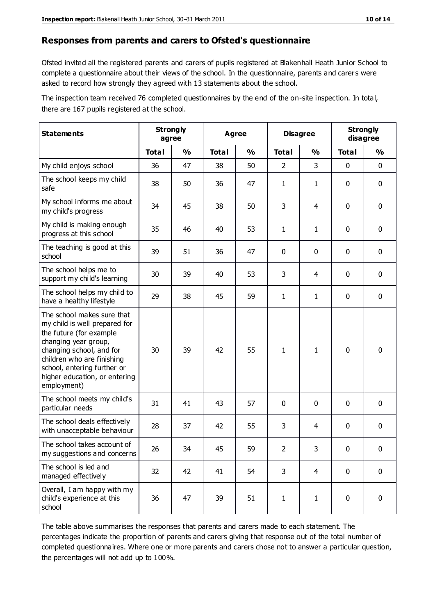#### **Responses from parents and carers to Ofsted's questionnaire**

Ofsted invited all the registered parents and carers of pupils registered at Blakenhall Heath Junior School to complete a questionnaire about their views of the school. In the questionnaire, parents and carers were asked to record how strongly they agreed with 13 statements about the school.

The inspection team received 76 completed questionnaires by the end of the on-site inspection. In total, there are 167 pupils registered at the school.

| <b>Statements</b>                                                                                                                                                                                                                                       | <b>Strongly</b><br>agree |               | <b>Agree</b> |               | <b>Disagree</b> |                | <b>Strongly</b><br>disagree |               |
|---------------------------------------------------------------------------------------------------------------------------------------------------------------------------------------------------------------------------------------------------------|--------------------------|---------------|--------------|---------------|-----------------|----------------|-----------------------------|---------------|
|                                                                                                                                                                                                                                                         | <b>Total</b>             | $\frac{1}{2}$ | <b>Total</b> | $\frac{1}{2}$ | <b>Total</b>    | $\frac{1}{2}$  | <b>Total</b>                | $\frac{1}{2}$ |
| My child enjoys school                                                                                                                                                                                                                                  | 36                       | 47            | 38           | 50            | $\overline{2}$  | 3              | 0                           | $\mathbf 0$   |
| The school keeps my child<br>safe                                                                                                                                                                                                                       | 38                       | 50            | 36           | 47            | $\mathbf{1}$    | 1              | 0                           | $\mathbf 0$   |
| My school informs me about<br>my child's progress                                                                                                                                                                                                       | 34                       | 45            | 38           | 50            | 3               | 4              | $\mathbf 0$                 | $\mathbf 0$   |
| My child is making enough<br>progress at this school                                                                                                                                                                                                    | 35                       | 46            | 40           | 53            | $\mathbf{1}$    | 1              | $\mathbf 0$                 | $\mathbf 0$   |
| The teaching is good at this<br>school                                                                                                                                                                                                                  | 39                       | 51            | 36           | 47            | 0               | 0              | 0                           | $\pmb{0}$     |
| The school helps me to<br>support my child's learning                                                                                                                                                                                                   | 30                       | 39            | 40           | 53            | 3               | 4              | $\mathbf 0$                 | $\mathbf 0$   |
| The school helps my child to<br>have a healthy lifestyle                                                                                                                                                                                                | 29                       | 38            | 45           | 59            | $\mathbf{1}$    | 1              | 0                           | $\pmb{0}$     |
| The school makes sure that<br>my child is well prepared for<br>the future (for example<br>changing year group,<br>changing school, and for<br>children who are finishing<br>school, entering further or<br>higher education, or entering<br>employment) | 30                       | 39            | 42           | 55            | $\mathbf{1}$    | 1              | $\mathbf{0}$                | $\mathbf 0$   |
| The school meets my child's<br>particular needs                                                                                                                                                                                                         | 31                       | 41            | 43           | 57            | 0               | $\mathbf 0$    | $\mathbf 0$                 | $\mathbf 0$   |
| The school deals effectively<br>with unacceptable behaviour                                                                                                                                                                                             | 28                       | 37            | 42           | 55            | 3               | 4              | 0                           | $\pmb{0}$     |
| The school takes account of<br>my suggestions and concerns                                                                                                                                                                                              | 26                       | 34            | 45           | 59            | $\overline{2}$  | 3              | 0                           | 0             |
| The school is led and<br>managed effectively                                                                                                                                                                                                            | 32                       | 42            | 41           | 54            | 3               | $\overline{4}$ | $\mathbf 0$                 | $\mathbf 0$   |
| Overall, I am happy with my<br>child's experience at this<br>school                                                                                                                                                                                     | 36                       | 47            | 39           | 51            | $\mathbf{1}$    | $\mathbf{1}$   | $\mathbf 0$                 | $\mathbf 0$   |

The table above summarises the responses that parents and carers made to each statement. The percentages indicate the proportion of parents and carers giving that response out of the total number of completed questionnaires. Where one or more parents and carers chose not to answer a particular question, the percentages will not add up to 100%.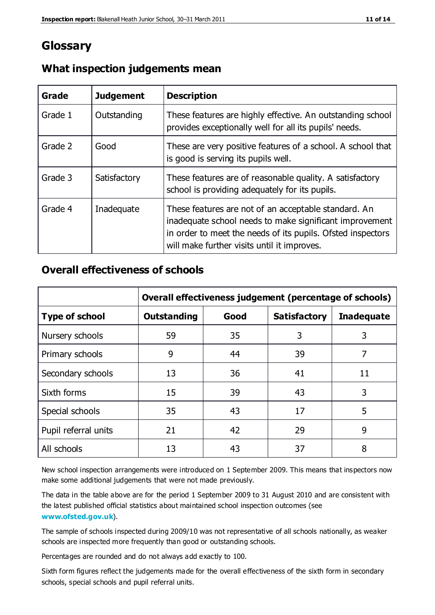## **Glossary**

| Grade   | <b>Judgement</b> | <b>Description</b>                                                                                                                                                                                                            |
|---------|------------------|-------------------------------------------------------------------------------------------------------------------------------------------------------------------------------------------------------------------------------|
| Grade 1 | Outstanding      | These features are highly effective. An outstanding school<br>provides exceptionally well for all its pupils' needs.                                                                                                          |
| Grade 2 | Good             | These are very positive features of a school. A school that<br>is good is serving its pupils well.                                                                                                                            |
| Grade 3 | Satisfactory     | These features are of reasonable quality. A satisfactory<br>school is providing adequately for its pupils.                                                                                                                    |
| Grade 4 | Inadequate       | These features are not of an acceptable standard. An<br>inadequate school needs to make significant improvement<br>in order to meet the needs of its pupils. Ofsted inspectors<br>will make further visits until it improves. |

## **What inspection judgements mean**

## **Overall effectiveness of schools**

|                       | Overall effectiveness judgement (percentage of schools) |      |                     |                   |
|-----------------------|---------------------------------------------------------|------|---------------------|-------------------|
| <b>Type of school</b> | <b>Outstanding</b>                                      | Good | <b>Satisfactory</b> | <b>Inadequate</b> |
| Nursery schools       | 59                                                      | 35   | 3                   | 3                 |
| Primary schools       | 9                                                       | 44   | 39                  | 7                 |
| Secondary schools     | 13                                                      | 36   | 41                  | 11                |
| Sixth forms           | 15                                                      | 39   | 43                  | 3                 |
| Special schools       | 35                                                      | 43   | 17                  | 5                 |
| Pupil referral units  | 21                                                      | 42   | 29                  | 9                 |
| All schools           | 13                                                      | 43   | 37                  | 8                 |

New school inspection arrangements were introduced on 1 September 2009. This means that inspectors now make some additional judgements that were not made previously.

The data in the table above are for the period 1 September 2009 to 31 August 2010 and are consistent with the latest published official statistics about maintained school inspection outcomes (see **[www.ofsted.gov.uk](http://www.ofsted.gov.uk/)**).

The sample of schools inspected during 2009/10 was not representative of all schools nationally, as weaker schools are inspected more frequently than good or outstanding schools.

Percentages are rounded and do not always add exactly to 100.

Sixth form figures reflect the judgements made for the overall effectiveness of the sixth form in secondary schools, special schools and pupil referral units.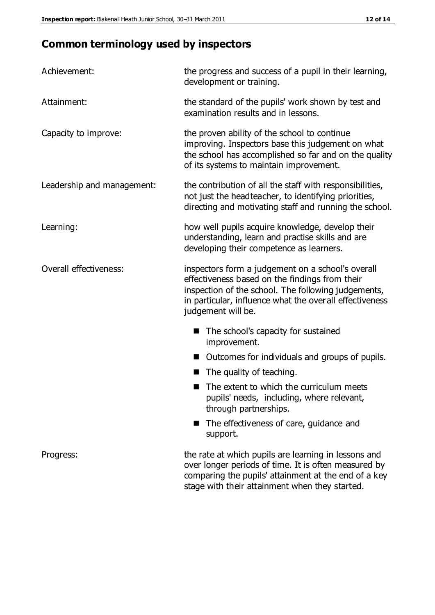## **Common terminology used by inspectors**

| Achievement:               | the progress and success of a pupil in their learning,<br>development or training.                                                                                                                                                           |  |  |
|----------------------------|----------------------------------------------------------------------------------------------------------------------------------------------------------------------------------------------------------------------------------------------|--|--|
| Attainment:                | the standard of the pupils' work shown by test and<br>examination results and in lessons.                                                                                                                                                    |  |  |
| Capacity to improve:       | the proven ability of the school to continue<br>improving. Inspectors base this judgement on what<br>the school has accomplished so far and on the quality<br>of its systems to maintain improvement.                                        |  |  |
| Leadership and management: | the contribution of all the staff with responsibilities,<br>not just the headteacher, to identifying priorities,<br>directing and motivating staff and running the school.                                                                   |  |  |
| Learning:                  | how well pupils acquire knowledge, develop their<br>understanding, learn and practise skills and are<br>developing their competence as learners.                                                                                             |  |  |
| Overall effectiveness:     | inspectors form a judgement on a school's overall<br>effectiveness based on the findings from their<br>inspection of the school. The following judgements,<br>in particular, influence what the over all effectiveness<br>judgement will be. |  |  |
|                            | The school's capacity for sustained<br>improvement.                                                                                                                                                                                          |  |  |
|                            | Outcomes for individuals and groups of pupils.                                                                                                                                                                                               |  |  |
|                            | The quality of teaching.                                                                                                                                                                                                                     |  |  |
|                            | The extent to which the curriculum meets<br>pupils' needs, including, where relevant,<br>through partnerships.                                                                                                                               |  |  |
|                            | The effectiveness of care, guidance and<br>support.                                                                                                                                                                                          |  |  |
| Progress:                  | the rate at which pupils are learning in lessons and<br>over longer periods of time. It is often measured by<br>comparing the pupils' attainment at the end of a key                                                                         |  |  |

stage with their attainment when they started.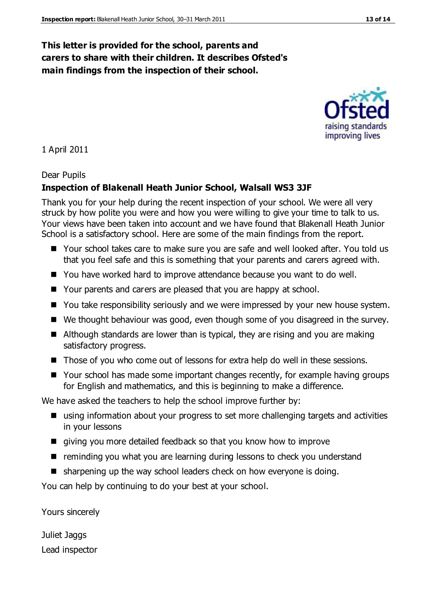## **This letter is provided for the school, parents and carers to share with their children. It describes Ofsted's main findings from the inspection of their school.**

1 April 2011

#### Dear Pupils

#### **Inspection of Blakenall Heath Junior School, Walsall WS3 3JF**

Thank you for your help during the recent inspection of your school. We were all very struck by how polite you were and how you were willing to give your time to talk to us. Your views have been taken into account and we have found that Blakenall Heath Junior School is a satisfactory school. Here are some of the main findings from the report.

- Your school takes care to make sure you are safe and well looked after. You told us that you feel safe and this is something that your parents and carers agreed with.
- You have worked hard to improve attendance because you want to do well.
- Your parents and carers are pleased that you are happy at school.
- You take responsibility seriously and we were impressed by your new house system.
- We thought behaviour was good, even though some of you disagreed in the survey.
- Although standards are lower than is typical, they are rising and you are making satisfactory progress.
- Those of you who come out of lessons for extra help do well in these sessions.
- Your school has made some important changes recently, for example having groups for English and mathematics, and this is beginning to make a difference.

We have asked the teachers to help the school improve further by:

- using information about your progress to set more challenging targets and activities in your lessons
- giving you more detailed feedback so that you know how to improve
- reminding you what you are learning during lessons to check you understand
- sharpening up the way school leaders check on how everyone is doing.

You can help by continuing to do your best at your school.

Yours sincerely

Juliet Jaggs Lead inspector